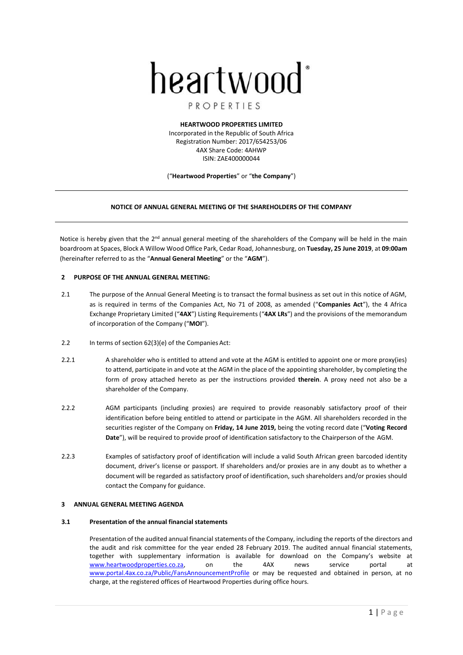# heartwood<sup>\*</sup>

# PROPERTIES

**HEARTWOOD PROPERTIES LIMITED** Incorporated in the Republic of South Africa Registration Number: 2017/654253/06 4AX Share Code: 4AHWP ISIN: ZAE400000044

("**Heartwood Properties**" or "**the Company**")

# **NOTICE OF ANNUAL GENERAL MEETING OF THE SHAREHOLDERS OF THE COMPANY**

Notice is hereby given that the 2<sup>nd</sup> annual general meeting of the shareholders of the Company will be held in the main boardroom at Spaces, Block A Willow Wood Office Park, Cedar Road, Johannesburg, on **Tuesday, 25 June 2019**, at **09:00am** (hereinafter referred to as the "**Annual General Meeting**" or the "**AGM**").

# **2 PURPOSE OF THE ANNUAL GENERAL MEETING:**

- 2.1 The purpose of the Annual General Meeting is to transact the formal business as set out in this notice of AGM, as is required in terms of the Companies Act, No 71 of 2008, as amended ("**Companies Act**"), the 4 Africa Exchange Proprietary Limited ("**4AX**") Listing Requirements ("**4AX LRs**") and the provisions of the memorandum of incorporation of the Company ("**MOI**").
- 2.2 In terms of section 62(3)(e) of the Companies Act:
- 2.2.1 A shareholder who is entitled to attend and vote at the AGM is entitled to appoint one or more proxy(ies) to attend, participate in and vote at the AGM in the place of the appointing shareholder, by completing the form of proxy attached hereto as per the instructions provided **therein**. A proxy need not also be a shareholder of the Company.
- 2.2.2 AGM participants (including proxies) are required to provide reasonably satisfactory proof of their identification before being entitled to attend or participate in the AGM. All shareholders recorded in the securities register of the Company on **Friday, 14 June 2019,** being the voting record date ("**Voting Record Date**"), will be required to provide proof of identification satisfactory to the Chairperson of the AGM.
- 2.2.3 Examples of satisfactory proof of identification will include a valid South African green barcoded identity document, driver's license or passport. If shareholders and/or proxies are in any doubt as to whether a document will be regarded as satisfactory proof of identification, such shareholders and/or proxies should contact the Company for guidance.

# **3 ANNUAL GENERAL MEETING AGENDA**

# **3.1 Presentation of the annual financial statements**

Presentation of the audited annual financial statements of the Company, including the reports of the directors and the audit and risk committee for the year ended 28 February 2019. The audited annual financial statements, together with supplementary information is available for download on the Company's website at [www.heartwoodproperties.co.za,](file:///C:/Users/Johan%20Fourie/AppData/Local/Microsoft/Windows/INetCache/Content.Outlook/QMNYZBN4/www.heartwoodproperties.co.za) on the 4AX news service portal at [www.portal.4ax.co.za/Public/FansAnnouncementProfile](http://www.portal.4ax.co.za/Public/FansAnnouncementProfile) or may be requested and obtained in person, at no charge, at the registered offices of Heartwood Properties during office hours.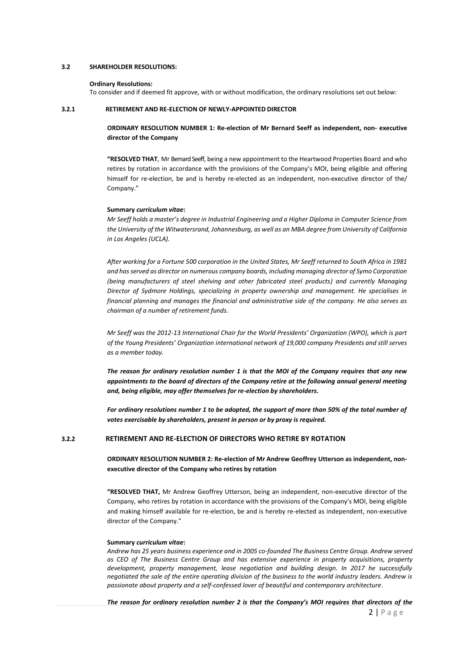#### **3.2 SHAREHOLDER RESOLUTIONS:**

#### **Ordinary Resolutions:**

To consider and if deemed fit approve, with or without modification, the ordinary resolutions set out below:

## <span id="page-1-0"></span>**3.2.1 RETIREMENT AND RE-ELECTION OF NEWLY-APPOINTED DIRECTOR**

**ORDINARY RESOLUTION NUMBER 1: Re-election of Mr Bernard Seeff as independent, non- executive director of the Company**

**"RESOLVED THAT**, Mr Bernard Seeff, being a new appointment to the Heartwood Properties Board and who retires by rotation in accordance with the provisions of the Company's MOI, being eligible and offering himself for re-election, be and is hereby re-elected as an independent, non-executive director of the/ Company."

## **Summary** *curriculum vitae***:**

*Mr Seeff holds a master's degree in Industrial Engineering and a Higher Diploma in Computer Science from the University of the Witwatersrand, Johannesburg, as well as an MBA degree from University of California in Los Angeles (UCLA).*

*After working for a Fortune 500 corporation in the United States, Mr Seeff returned to South Africa in 1981 and has served as director on numerous company boards, including managing director of Symo Corporation (being manufacturers of steel shelving and other fabricated steel products) and currently Managing Director of Sydmore Holdings, specializing in property ownership and management. He specialises in financial planning and manages the financial and administrative side of the company. He also serves as chairman of a number of retirement funds.*

*Mr Seeff was the 2012-13 International Chair for the World Presidents' Organization (WPO), which is part of the Young Presidents' Organization international network of 19,000 company Presidents and still serves as a member today.*

*The reason for ordinary resolution number 1 is that the MOI of the Company requires that any new appointments to the board of directors of the Company retire at the following annual general meeting and, being eligible, may offer themselves for re-election by shareholders.*

*For ordinary resolutions number 1 to be adopted, the support of more than 50% of the total number of votes exercisable by shareholders, present in person or by proxy is required.*

# **3.2.2 RETIREMENT AND RE-ELECTION OF DIRECTORS WHO RETIRE BY ROTATION**

**ORDINARY RESOLUTION NUMBER 2: Re-election of Mr Andrew Geoffrey Utterson as independent, nonexecutive director of the Company who retires by rotation**

**"RESOLVED THAT,** Mr Andrew Geoffrey Utterson, being an independent, non-executive director of the Company, who retires by rotation in accordance with the provisions of the Company's MOI, being eligible and making himself available for re-election, be and is hereby re-elected as independent, non-executive director of the Company."

#### **Summary** *curriculum vitae***:**

*Andrew has 25 years business experience and in 2005 co-founded The Business Centre Group. Andrew served as CEO of The Business Centre Group and has extensive experience in property acquisitions, property development, property management, lease negotiation and building design. In 2017 he successfully negotiated the sale of the entire operating division of the business to the world industry leaders. Andrew is passionate about property and a self-confessed lover of beautiful and contemporary architecture*.

*The reason for ordinary resolution number 2 is that the Company's MOI requires that directors of the*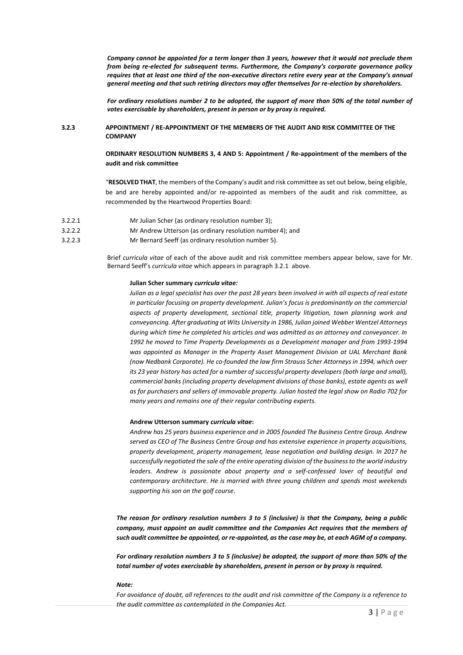*Company cannot be appointed for a term longer than 3 years, however that it would not preclude them from being re-elected for subsequent terms. Furthermore, the Company's corporate governance policy requires that at least one third of the non-executive directors retire every year at the Company's annual general meeting and that such retiring directors may offer themselves for re-election by shareholders.* 

*For ordinary resolutions number 2 to be adopted, the support of more than 50% of the total number of votes exercisable by shareholders, present in person or by proxy is required.*

# **3.2.3 APPOINTMENT / RE-APPOINTMENT OF THE MEMBERS OF THE AUDIT AND RISK COMMITTEE OF THE COMPANY**

**ORDINARY RESOLUTION NUMBERS 3, 4 AND 5: Appointment / Re-appointment of the members of the audit and risk committee**

"**RESOLVED THAT**, the members of the Company's audit and risk committee asset out below, being eligible, be and are hereby appointed and/or re-appointed as members of the audit and risk committee, as recommended by the Heartwood Properties Board:

- 3.2.2.1 Mr Julian Scher (as ordinary resolution number 3);
- 3.2.2.2 Mr Andrew Utterson (as ordinary resolution number 4); and
- 3.2.2.3 Mr Bernard Seeff (as ordinary resolution number 5).

Brief *curricula vitae* of each of the above audit and risk committee members appear below, save for Mr. Bernard Seeff's *curricula vitae* which appears in paragraph 3.2.1 [above.](#page-1-0)

#### **Julian Scher summary** *curricula vitae:*

Julian as a legal specialist has over the past 28 years been involved in with all aspects of real estate *in particular focusing on property development. Julian's focus is predominantly on the commercial aspects of property development, sectional title, property litigation, town planning work and conveyancing. After graduating at Wits University in 1986, Julian joined Webber Wentzel Attorneys during which time he completed his articles and was admitted as an attorney and conveyancer. In 1992 he moved to Time Property Developments as a Development manager and from 1993-1994 was appointed as Manager in the Property Asset Management Division at UAL Merchant Bank (now Nedbank Corporate). He co-founded the law firm Strauss Scher Attorneys in 1994, which over its 23 year history has acted for a number of successful property developers (both large and small), commercial banks (including property development divisions of those banks), estate agents as well as for purchasers and sellers of immovable property. Julian hosted the legal show on Radio 702 for many years and remains one of their regular contributing experts.*

#### **Andrew Utterson summary** *curricula vitae***:**

*Andrew has 25 years business experience and in 2005 founded The Business Centre Group. Andrew served as CEO of The Business Centre Group and has extensive experience in property acquisitions, property development, property management, lease negotiation and building design. In 2017 he successfully negotiated the sale of the entire operating division of the businessto the world industry*  leaders. Andrew is passionate about property and a self-confessed lover of beautiful and *contemporary architecture. He is married with three young children and spends most weekends supporting his son on the golf course*.

*The reason for ordinary resolution numbers 3 to 5 (inclusive) is that the Company, being a public company, must appoint an audit committee and the Companies Act requires that the members of such audit committee be appointed, or re-appointed, as the case may be, at each AGM of a company.*

*For ordinary resolution numbers 3 to 5 (inclusive) be adopted, the support of more than 50% of the total number of votes exercisable by shareholders, present in person or by proxy is required.*

#### *Note:*

*For avoidance of doubt, all references to the audit and risk committee of the Company is a reference to the audit committee as contemplated in the Companies Act.*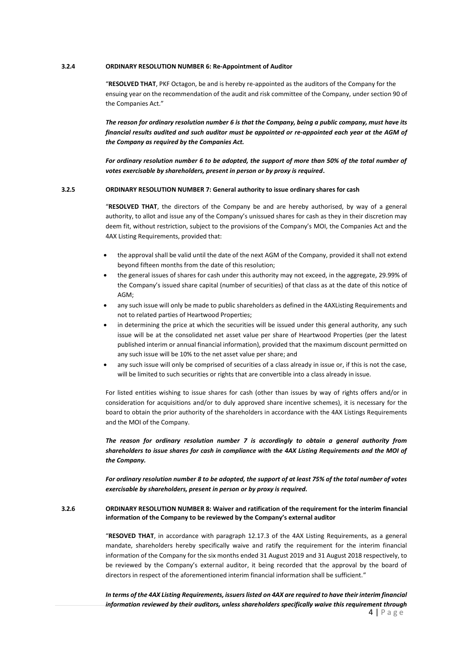# **3.2.4 ORDINARY RESOLUTION NUMBER 6: Re-Appointment of Auditor**

"**RESOLVED THAT**, PKF Octagon, be and is hereby re-appointed as the auditors of the Company for the ensuing year on the recommendation of the audit and risk committee of the Company, under section 90 of the Companies Act."

*The reason for ordinary resolution number 6 is that the Company, being a public company, must have its financial results audited and such auditor must be appointed or re-appointed each year at the AGM of the Company as required by the Companies Act.*

*For ordinary resolution number 6 to be adopted, the support of more than 50% of the total number of votes exercisable by shareholders, present in person or by proxy is required***.**

## **3.2.5 ORDINARY RESOLUTION NUMBER 7: General authority to issue ordinary shares for cash**

"**RESOLVED THAT**, the directors of the Company be and are hereby authorised, by way of a general authority, to allot and issue any of the Company's unissued shares for cash as they in their discretion may deem fit, without restriction, subject to the provisions of the Company's MOI, the Companies Act and the 4AX Listing Requirements, provided that:

- the approval shall be valid until the date of the next AGM of the Company, provided it shall not extend beyond fifteen months from the date of this resolution;
- the general issues of shares for cash under this authority may not exceed, in the aggregate, 29.99% of the Company's issued share capital (number of securities) of that class as at the date of this notice of AGM;
- any such issue will only be made to public shareholders as defined in the 4AXListing Requirements and not to related parties of Heartwood Properties;
- in determining the price at which the securities will be issued under this general authority, any such issue will be at the consolidated net asset value per share of Heartwood Properties (per the latest published interim or annual financial information), provided that the maximum discount permitted on any such issue will be 10% to the net asset value per share; and
- any such issue will only be comprised of securities of a class already in issue or, if this is not the case, will be limited to such securities or rights that are convertible into a class already in issue.

For listed entities wishing to issue shares for cash (other than issues by way of rights offers and/or in consideration for acquisitions and/or to duly approved share incentive schemes), it is necessary for the board to obtain the prior authority of the shareholders in accordance with the 4AX Listings Requirements and the MOI of the Company.

*The reason for ordinary resolution number 7 is accordingly to obtain a general authority from shareholders to issue shares for cash in compliance with the 4AX Listing Requirements and the MOI of the Company.*

*For ordinary resolution number 8 to be adopted, the support of at least 75% of the total number of votes exercisable by shareholders, present in person or by proxy is required.*

# **3.2.6 ORDINARY RESOLUTION NUMBER 8: Waiver and ratification of the requirement for the interim financial information of the Company to be reviewed by the Company's external auditor**

"**RESOVED THAT**, in accordance with paragraph 12.17.3 of the 4AX Listing Requirements, as a general mandate, shareholders hereby specifically waive and ratify the requirement for the interim financial information of the Company for the six months ended 31 August 2019 and 31 August 2018 respectively, to be reviewed by the Company's external auditor, it being recorded that the approval by the board of directors in respect of the aforementioned interim financial information shall be sufficient."

 $4 | P \text{age}$ *In terms of the 4AX Listing Requirements, issuers listed on 4AX are required to have their interim financial information reviewed by their auditors, unless shareholders specifically waive this requirement through*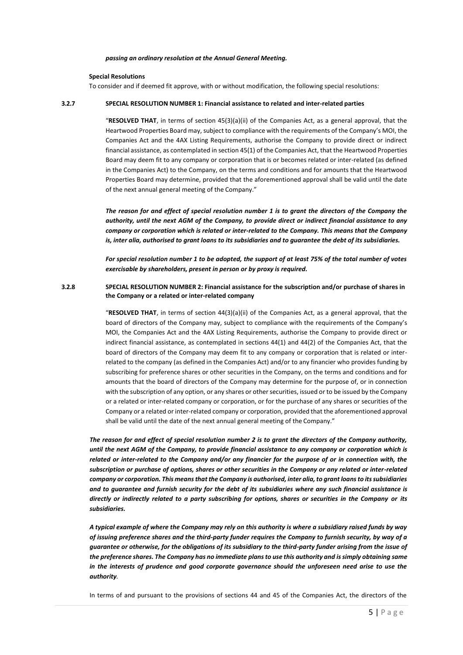#### *passing an ordinary resolution at the Annual General Meeting.*

#### **Special Resolutions**

To consider and if deemed fit approve, with or without modification, the following special resolutions:

#### **3.2.7 SPECIAL RESOLUTION NUMBER 1: Financial assistance to related and inter-related parties**

"**RESOLVED THAT**, in terms of section 45(3)(a)(ii) of the Companies Act, as a general approval, that the Heartwood Properties Board may, subject to compliance with the requirements of the Company's MOI, the Companies Act and the 4AX Listing Requirements, authorise the Company to provide direct or indirect financial assistance, as contemplated in section 45(1) of the Companies Act, that the Heartwood Properties Board may deem fit to any company or corporation that is or becomes related or inter-related (as defined in the Companies Act) to the Company, on the terms and conditions and for amounts that the Heartwood Properties Board may determine, provided that the aforementioned approval shall be valid until the date of the next annual general meeting of the Company."

*The reason for and effect of special resolution number 1 is to grant the directors of the Company the authority, until the next AGM of the Company, to provide direct or indirect financial assistance to any company or corporation which is related or inter-related to the Company. This means that the Company is, inter alia, authorised to grant loans to its subsidiaries and to guarantee the debt of its subsidiaries.*

*For special resolution number 1 to be adopted, the support of at least 75% of the total number of votes exercisable by shareholders, present in person or by proxy is required.*

# **3.2.8 SPECIAL RESOLUTION NUMBER 2: Financial assistance for the subscription and/or purchase of shares in the Company or a related or inter-related company**

"**RESOLVED THAT**, in terms of section 44(3)(a)(ii) of the Companies Act, as a general approval, that the board of directors of the Company may, subject to compliance with the requirements of the Company's MOI, the Companies Act and the 4AX Listing Requirements, authorise the Company to provide direct or indirect financial assistance, as contemplated in sections 44(1) and 44(2) of the Companies Act, that the board of directors of the Company may deem fit to any company or corporation that is related or interrelated to the company (as defined in the Companies Act) and/or to any financier who provides funding by subscribing for preference shares or other securities in the Company, on the terms and conditions and for amounts that the board of directors of the Company may determine for the purpose of, or in connection with the subscription of any option, or any shares or other securities, issued or to be issued by the Company or a related or inter-related company or corporation, or for the purchase of any shares or securities of the Company or a related or inter-related company or corporation, provided that the aforementioned approval shall be valid until the date of the next annual general meeting of the Company."

*The reason for and effect of special resolution number 2 is to grant the directors of the Company authority, until the next AGM of the Company, to provide financial assistance to any company or corporation which is related or inter-related to the Company and/or any financier for the purpose of or in connection with, the subscription or purchase of options, shares or other securities in the Company or any related or inter-related company or corporation. This means that the Company is authorised, inter alia, to grant loans to its subsidiaries and to guarantee and furnish security for the debt of its subsidiaries where any such financial assistance is directly or indirectly related to a party subscribing for options, shares or securities in the Company or its subsidiaries.*

*A typical example of where the Company may rely on this authority is where a subsidiary raised funds by way of issuing preference shares and the third-party funder requires the Company to furnish security, by way of a guarantee or otherwise, for the obligations of its subsidiary to the third-party funder arising from the issue of the preference shares. The Company has no immediate plansto use this authority and issimply obtaining same in the interests of prudence and good corporate governance should the unforeseen need arise to use the authority.*

In terms of and pursuant to the provisions of sections 44 and 45 of the Companies Act, the directors of the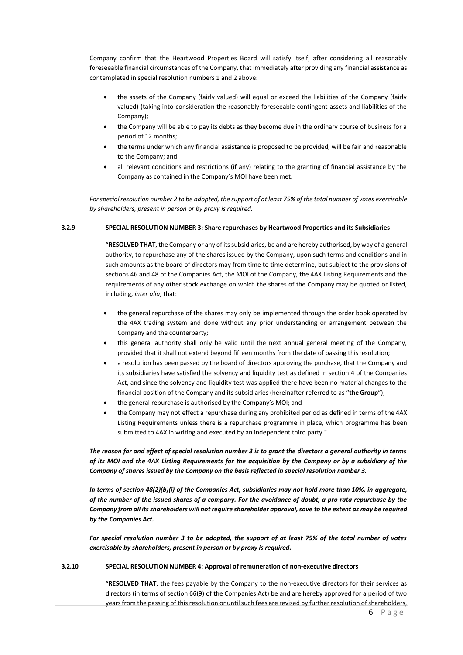Company confirm that the Heartwood Properties Board will satisfy itself, after considering all reasonably foreseeable financial circumstances of the Company, that immediately after providing any financial assistance as contemplated in special resolution numbers 1 and 2 above:

- the assets of the Company (fairly valued) will equal or exceed the liabilities of the Company (fairly valued) (taking into consideration the reasonably foreseeable contingent assets and liabilities of the Company);
- the Company will be able to pay its debts as they become due in the ordinary course of business for a period of 12 months;
- the terms under which any financial assistance is proposed to be provided, will be fair and reasonable to the Company; and
- all relevant conditions and restrictions (if any) relating to the granting of financial assistance by the Company as contained in the Company's MOI have been met.

For special resolution number 2 to be adopted, the support of at least 75% of the total number of votes exercisable *by shareholders, present in person or by proxy is required.*

# **3.2.9 SPECIAL RESOLUTION NUMBER 3: Share repurchases by Heartwood Properties and its Subsidiaries**

"**RESOLVED THAT**, the Company or any of itssubsidiaries, be and are hereby authorised, by way of a general authority, to repurchase any of the shares issued by the Company, upon such terms and conditions and in such amounts as the board of directors may from time to time determine, but subject to the provisions of sections 46 and 48 of the Companies Act, the MOI of the Company, the 4AX Listing Requirements and the requirements of any other stock exchange on which the shares of the Company may be quoted or listed, including, *inter alia*, that:

- the general repurchase of the shares may only be implemented through the order book operated by the 4AX trading system and done without any prior understanding or arrangement between the Company and the counterparty;
- this general authority shall only be valid until the next annual general meeting of the Company, provided that it shall not extend beyond fifteen months from the date of passing thisresolution;
- a resolution has been passed by the board of directors approving the purchase, that the Company and its subsidiaries have satisfied the solvency and liquidity test as defined in section 4 of the Companies Act, and since the solvency and liquidity test was applied there have been no material changes to the financial position of the Company and its subsidiaries (hereinafter referred to as "**theGroup**");
- the general repurchase is authorised by the Company's MOI; and
- the Company may not effect a repurchase during any prohibited period as defined in terms of the 4AX Listing Requirements unless there is a repurchase programme in place, which programme has been submitted to 4AX in writing and executed by an independent third party."

*The reason for and effect of special resolution number 3 is to grant the directors a general authority in terms of its MOI and the 4AX Listing Requirements for the acquisition by the Company or by a subsidiary of the Company of shares issued by the Company on the basis reflected in special resolution number 3.*

*In terms of section 48(2)(b)(i) of the Companies Act, subsidiaries may not hold more than 10%, in aggregate, of the number of the issued shares of a company. For the avoidance of doubt, a pro rata repurchase by the*  Company from all its shareholders will not require shareholder approval, save to the extent as may be required *by the Companies Act.*

*For special resolution number 3 to be adopted, the support of at least 75% of the total number of votes exercisable by shareholders, present in person or by proxy is required.*

# **3.2.10 SPECIAL RESOLUTION NUMBER 4: Approval of remuneration of non-executive directors**

"**RESOLVED THAT**, the fees payable by the Company to the non-executive directors for their services as directors (in terms of section 66(9) of the Companies Act) be and are hereby approved for a period of two years from the passing of this resolution or until such fees are revised by further resolution of shareholders,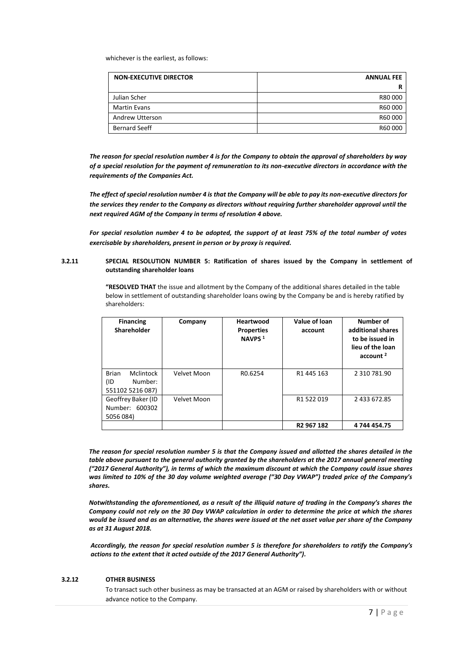whichever is the earliest, as follows:

| <b>NON-EXECUTIVE DIRECTOR</b> | <b>ANNUAL FEE</b> |
|-------------------------------|-------------------|
|                               |                   |
| Julian Scher                  | R80000            |
| <b>Martin Evans</b>           | R60000            |
| Andrew Utterson               | R60000            |
| <b>Bernard Seeff</b>          | R60000            |

*The reason for special resolution number 4 is for the Company to obtain the approval of shareholders by way of a special resolution for the payment of remuneration to its non-executive directors in accordance with the requirements of the Companies Act.*

The effect of special resolution number 4 is that the Company will be able to pay its non-executive directors for *the services they render to the Company as directors without requiring further shareholder approval until the next required AGM of the Company in terms of resolution 4 above.*

For special resolution number 4 to be adopted, the support of at least 75% of the total number of votes *exercisable by shareholders, present in person or by proxy is required.*

# **3.2.11 SPECIAL RESOLUTION NUMBER 5: Ratification of shares issued by the Company in settlement of outstanding shareholder loans**

**"RESOLVED THAT** the issue and allotment by the Company of the additional shares detailed in the table below in settlement of outstanding shareholder loans owing by the Company be and is hereby ratified by shareholders:

| <b>Financing</b><br><b>Shareholder</b> | Company     | Heartwood<br><b>Properties</b><br>NAVPS <sup>1</sup> | Value of loan<br>account | Number of<br>additional shares<br>to be issued in<br>lieu of the loan<br>account <sup>2</sup> |
|----------------------------------------|-------------|------------------------------------------------------|--------------------------|-----------------------------------------------------------------------------------------------|
| <b>Brian</b><br>Mclintock              | Velvet Moon | R <sub>0.6254</sub>                                  | R <sub>1</sub> 445 163   | 2 310 781.90                                                                                  |
| Number:<br>(ID                         |             |                                                      |                          |                                                                                               |
| 551102 5216 087)                       |             |                                                      |                          |                                                                                               |
| Geoffrey Baker (ID                     | Velvet Moon |                                                      | R1 522 019               | 2 433 672.85                                                                                  |
| Number: 600302                         |             |                                                      |                          |                                                                                               |
| 5056 084)                              |             |                                                      |                          |                                                                                               |
|                                        |             |                                                      | R <sub>2</sub> 967 182   | 4 744 454.75                                                                                  |

*The reason for special resolution number 5 is that the Company issued and allotted the shares detailed in the table above pursuant to the general authority granted by the shareholders at the 2017 annual general meeting ("2017 General Authority"), in terms of which the maximum discount at which the Company could issue shares was limited to 10% of the 30 day volume weighted average ("30 Day VWAP") traded price of the Company's shares.* 

*Notwithstanding the aforementioned, as a result of the illiquid nature of trading in the Company's shares the Company could not rely on the 30 Day VWAP calculation in order to determine the price at which the shares would be issued and as an alternative, the shares were issued at the net asset value per share of the Company as at 31 August 2018.*

*Accordingly, the reason for special resolution number 5 is therefore for shareholders to ratify the Company's actions to the extent that it acted outside of the 2017 General Authority").*

# **3.2.12 OTHER BUSINESS**

To transact such other business as may be transacted at an AGM or raised by shareholders with or without advance notice to the Company.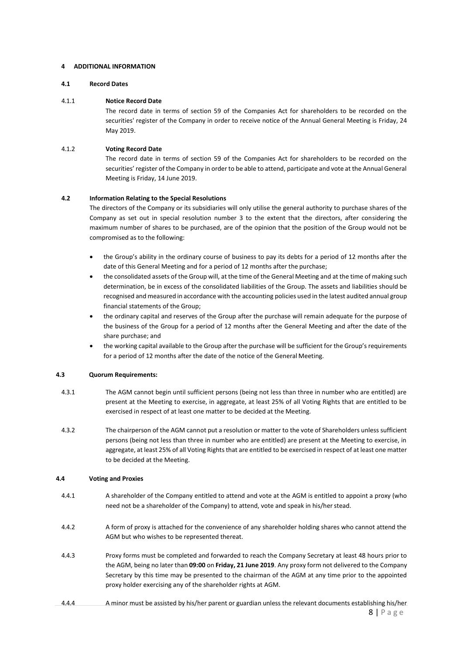# **4 ADDITIONAL INFORMATION**

# **4.1 Record Dates**

# 4.1.1 **Notice Record Date**

The record date in terms of section 59 of the Companies Act for shareholders to be recorded on the securities' register of the Company in order to receive notice of the Annual General Meeting is Friday, 24 May 2019.

# 4.1.2 **Voting Record Date**

The record date in terms of section 59 of the Companies Act for shareholders to be recorded on the securities' register of the Company in order to be able to attend, participate and vote at the Annual General Meeting is Friday, 14 June 2019.

# **4.2 Information Relating to the Special Resolutions**

The directors of the Company or its subsidiaries will only utilise the general authority to purchase shares of the Company as set out in special resolution number 3 to the extent that the directors, after considering the maximum number of shares to be purchased, are of the opinion that the position of the Group would not be compromised as to the following:

- the Group's ability in the ordinary course of business to pay its debts for a period of 12 months after the date of this General Meeting and for a period of 12 months after the purchase;
- the consolidated assets of the Group will, at the time of the General Meeting and at the time of making such determination, be in excess of the consolidated liabilities of the Group. The assets and liabilities should be recognised and measured in accordance with the accounting policies used in the latest audited annual group financial statements of the Group;
- the ordinary capital and reserves of the Group after the purchase will remain adequate for the purpose of the business of the Group for a period of 12 months after the General Meeting and after the date of the share purchase; and
- the working capital available to the Group after the purchase will be sufficient for the Group's requirements for a period of 12 months after the date of the notice of the General Meeting.

# **4.3 Quorum Requirements:**

- 4.3.1 The AGM cannot begin until sufficient persons (being not less than three in number who are entitled) are present at the Meeting to exercise, in aggregate, at least 25% of all Voting Rights that are entitled to be exercised in respect of at least one matter to be decided at the Meeting.
- 4.3.2 The chairperson of the AGM cannot put a resolution or matter to the vote of Shareholders unless sufficient persons (being not less than three in number who are entitled) are present at the Meeting to exercise, in aggregate, at least 25% of all Voting Rights that are entitled to be exercised in respect of at least one matter to be decided at the Meeting.

# **4.4 Voting and Proxies**

- 4.4.1 A shareholder of the Company entitled to attend and vote at the AGM is entitled to appoint a proxy (who need not be a shareholder of the Company) to attend, vote and speak in his/her stead.
- 4.4.2 A form of proxy is attached for the convenience of any shareholder holding shares who cannot attend the AGM but who wishes to be represented thereat.
- 4.4.3 Proxy forms must be completed and forwarded to reach the Company Secretary at least 48 hours prior to the AGM, being no later than **09:00** on **Friday, 21 June 2019**. Any proxy form not delivered to the Company Secretary by this time may be presented to the chairman of the AGM at any time prior to the appointed proxy holder exercising any of the shareholder rights at AGM.
- $8$  | P a g e 4.4.4 A minor must be assisted by his/her parent or guardian unless the relevant documents establishing his/her